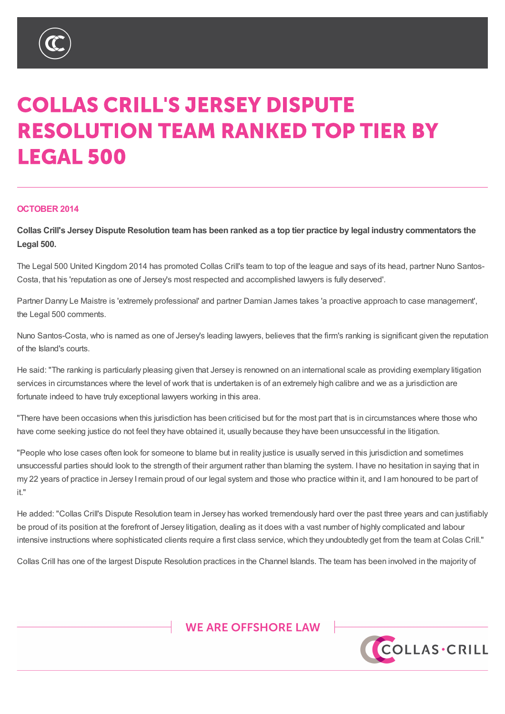

# **COLLAS CRILL'S JERSEY DISPUTE RESOLUTION TEAM RANKED TOP TIER BY LEGAL 500**

#### **OCTOBER 2014**

Collas Crill's Jersey Dispute Resolution team has been ranked as a top tier practice by legal industry commentators the **Legal 500.**

The Legal 500 United Kingdom 2014 has promoted Collas Crill's team to top of the league and says of its head, partner Nuno Santos-Costa, that his 'reputation as one of Jersey's most respected and accomplished lawyers is fully deserved'.

Partner Danny Le Maistre is 'extremely professional' and partner Damian James takes 'a proactive approach to case management', the Legal 500 comments.

Nuno Santos-Costa, who is named as one of Jersey's leading lawyers, believes that the firm's ranking is significant given the reputation of the Island's courts.

He said: "The ranking is particularly pleasing given that Jersey is renowned on an international scale as providing exemplary litigation services in circumstances where the level of work that is undertaken is of an extremely high calibre and we as a jurisdiction are fortunate indeed to have truly exceptional lawyers working in this area.

"There have been occasions when this jurisdiction has been criticised but for the most part that is in circumstances where those who have come seeking justice do not feel they have obtained it, usually because they have been unsuccessful in the litigation.

"People who lose cases often look for someone to blame but in reality justice is usually served in this jurisdiction and sometimes unsuccessful parties should look to the strength of their argument rather than blaming the system. I have no hesitation in saying that in my 22 years of practice in Jersey Iremain proud of our legal system and those who practice within it, and I am honoured to be part of it."

He added: "Collas Crill's Dispute Resolution team in Jersey has worked tremendously hard over the past three years and can justifiably be proud of its position at the forefront of Jersey litigation, dealing as it does with a vast number of highly complicated and labour intensive instructions where sophisticated clients require a first class service, which they undoubtedly get from the team at Colas Crill."

Collas Crill has one of the largest Dispute Resolution practices in the Channel Islands. The team has been involved in the majority of

## WE ARE OFFSHORE LAW



%9,\_&D\PDQ\_\*XHUQVH\\_-HUVH\\_/RQGRQ

7KLVQRWH LVDVXPPDU\RIWKHVXEMHFWDQGLVSURYLGHGIRU LQIRUPDWLRQRQO\,WGRHVQRWSXUSRUWWR EH VRXJKW:KLOVWHYHU\FDUHKDVEHHQWDNHQLQSURGXFLQJWKLVQRWHQHLWKHUWKHDXWKRUQRU&ROODV PDWWHUVVHWRXWLQLW\$OOFRS\ULJKWLQWKLVPDWHULDOEHORQJVWR&ROODV&ULOO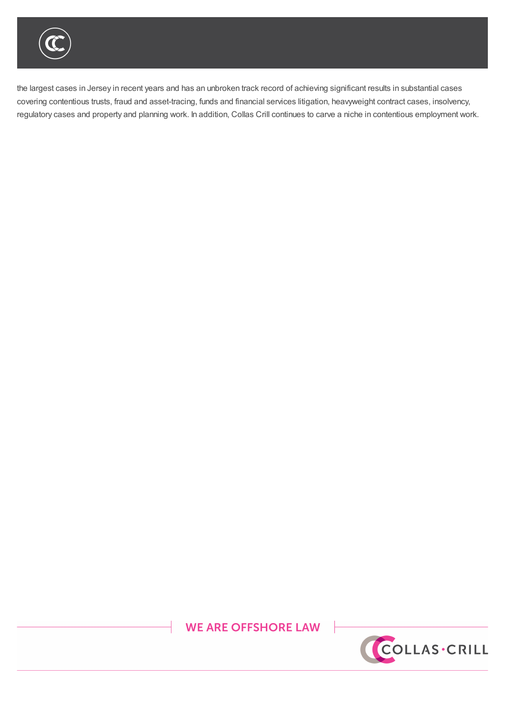be provided of  $\mathcal{D}$  its position, dealing as it does with a vast number of highly complicated and labour complicated and labour  $\mathcal{D}$ 

the largest cases in Jersey in recent years and has an unbroken track record of achieving significant results in substantial cases covering contentious trusts, fraud and asset-tracing, funds and financial services litigation, heavyweight contract cases, insolvency, regulatory cases and property and planning work. In addition, Collas Crill continues to carve a niche in contentious employment work.

He added: "Collas Crill's Dispute Resolution team in Jersey has worked tremendously hard over the past three years and can justifiably

## **WE ARE OFFSHORE LAW**



%9,\_&D\PDQ\_\*XHUQVH\\_-HUVH\\_/RQGRQ

7KLVQRWH LVDVXPPDU\RIWKHVXEMHFWDQGLVSURYLGHGIRU LQIRUPDWLRQRQO\,WGRHVQRWSXUSRUWWR EH VRXJKW:KLOVWHYHU\FDUHKDVEHHQWDNHQLQSURGXFLQJWKLVQRWHQHLWKHUWKHDXWKRUQRU&ROODV PDWWHUVVHWRXWLQLW\$OOFRS\ULJKWLQWKLVPDWHULDOEHORQJVWR&ROODV&ULOO